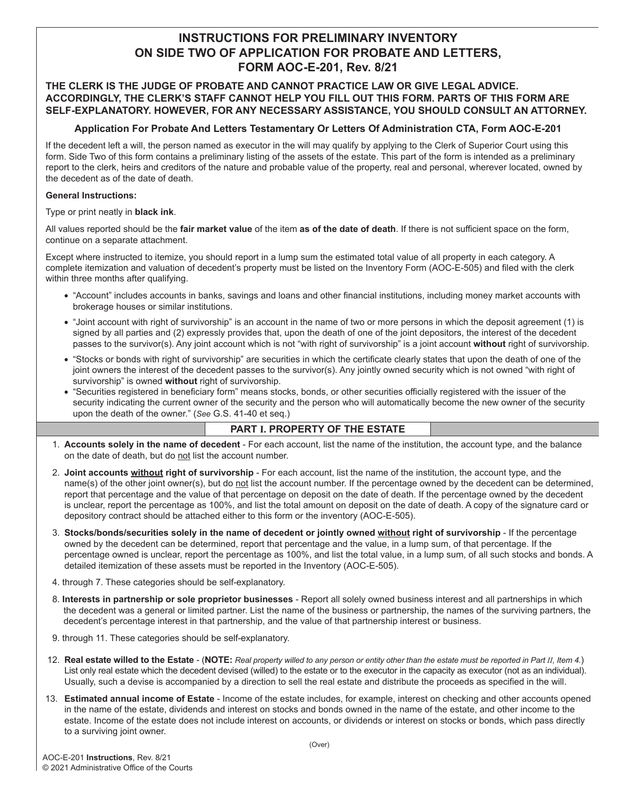# **INSTRUCTIONS FOR PRELIMINARY INVENTORY ON SIDE TWO OF APPLICATION FOR PROBATE AND LETTERS, FORM AOC-E-201, Rev. 8/21**

### **THE CLERK IS THE JUDGE OF PROBATE AND CANNOT PRACTICE LAW OR GIVE LEGAL ADVICE. ACCORDINGLY, THE CLERK'S STAFF CANNOT HELP YOU FILL OUT THIS FORM. PARTS OF THIS FORM ARE SELF-EXPLANATORY. HOWEVER, FOR ANY NECESSARY ASSISTANCE, YOU SHOULD CONSULT AN ATTORNEY.**

### **Application For Probate And Letters Testamentary Or Letters Of Administration CTA, Form AOC-E-201**

If the decedent left a will, the person named as executor in the will may qualify by applying to the Clerk of Superior Court using this form. Side Two of this form contains a preliminary listing of the assets of the estate. This part of the form is intended as a preliminary report to the clerk, heirs and creditors of the nature and probable value of the property, real and personal, wherever located, owned by the decedent as of the date of death.

#### **General Instructions:**

Type or print neatly in **black ink**.

All values reported should be the **fair market value** of the item **as of the date of death**. If there is not sufficient space on the form, continue on a separate attachment.

Except where instructed to itemize, you should report in a lump sum the estimated total value of all property in each category. A complete itemization and valuation of decedent's property must be listed on the Inventory Form (AOC-E-505) and filed with the clerk within three months after qualifying.

- "Account" includes accounts in banks, savings and loans and other financial institutions, including money market accounts with brokerage houses or similar institutions.
- "Joint account with right of survivorship" is an account in the name of two or more persons in which the deposit agreement (1) is signed by all parties and (2) expressly provides that, upon the death of one of the joint depositors, the interest of the decedent passes to the survivor(s). Any joint account which is not "with right of survivorship" is a joint account **without** right of survivorship.
- "Stocks or bonds with right of survivorship" are securities in which the certificate clearly states that upon the death of one of the joint owners the interest of the decedent passes to the survivor(s). Any jointly owned security which is not owned "with right of survivorship" is owned **without** right of survivorship.
- "Securities registered in beneficiary form" means stocks, bonds, or other securities officially registered with the issuer of the security indicating the current owner of the security and the person who will automatically become the new owner of the security upon the death of the owner." (*See* G.S. 41-40 et seq.)

## **PART I. PROPERTY OF THE ESTATE**

- 1. **Accounts solely in the name of decedent** For each account, list the name of the institution, the account type, and the balance on the date of death, but do not list the account number.
- 2. **Joint accounts without right of survivorship** For each account, list the name of the institution, the account type, and the name(s) of the other joint owner(s), but do not list the account number. If the percentage owned by the decedent can be determined, report that percentage and the value of that percentage on deposit on the date of death. If the percentage owned by the decedent is unclear, report the percentage as 100%, and list the total amount on deposit on the date of death. A copy of the signature card or depository contract should be attached either to this form or the inventory (AOC-E-505).
- 3. **Stocks/bonds/securities solely in the name of decedent or jointly owned without right of survivorship**  If the percentage owned by the decedent can be determined, report that percentage and the value, in a lump sum, of that percentage. If the percentage owned is unclear, report the percentage as 100%, and list the total value, in a lump sum, of all such stocks and bonds. A detailed itemization of these assets must be reported in the Inventory (AOC-E-505).
- 4. through 7. These categories should be self-explanatory.
- 8. **Interests in partnership or sole proprietor businesses** Report all solely owned business interest and all partnerships in which the decedent was a general or limited partner. List the name of the business or partnership, the names of the surviving partners, the decedent's percentage interest in that partnership, and the value of that partnership interest or business.
- 9. through 11. These categories should be self-explanatory.
- 12. **Real estate willed to the Estate** (**NOTE:** *Real property willed to any person or entity other than the estate must be reported in Part II, Item 4.*) List only real estate which the decedent devised (willed) to the estate or to the executor in the capacity as executor (not as an individual). Usually, such a devise is accompanied by a direction to sell the real estate and distribute the proceeds as specified in the will.
- 13. **Estimated annual income of Estate** Income of the estate includes, for example, interest on checking and other accounts opened in the name of the estate, dividends and interest on stocks and bonds owned in the name of the estate, and other income to the estate. Income of the estate does not include interest on accounts, or dividends or interest on stocks or bonds, which pass directly to a surviving joint owner.